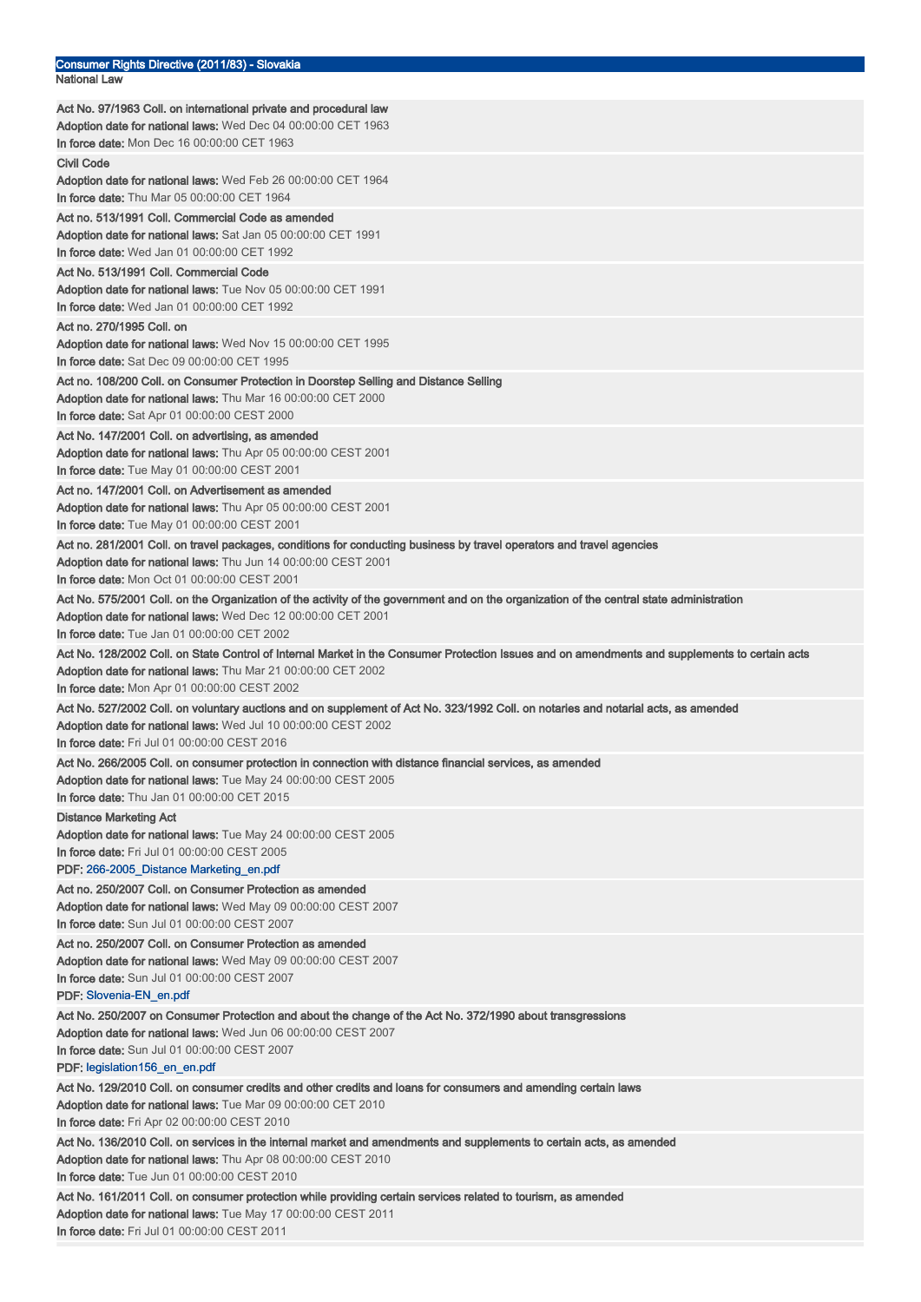| Consumer Rights Directive (2011/83) - Slovakia<br>National Law                                                                                                                                       |
|------------------------------------------------------------------------------------------------------------------------------------------------------------------------------------------------------|
| Act No. 97/1963 Coll. on international private and procedural law                                                                                                                                    |
| <b>Adoption date for national laws:</b> Wed Dec 04 00:00:00 CET 1963                                                                                                                                 |
| In force date: Mon Dec 16 00:00:00 CET 1963                                                                                                                                                          |
| Civil Code                                                                                                                                                                                           |
| <b>Adoption date for national laws:</b> Wed Feb 26 00:00:00 CET 1964                                                                                                                                 |
| In force date: Thu Mar 05 00:00:00 CET 1964                                                                                                                                                          |
| Act no. 513/1991 Coll. Commercial Code as amended                                                                                                                                                    |
| <b>Adoption date for national laws:</b> Sat Jan 05 00:00:00 CET 1991                                                                                                                                 |
| <b>In force date:</b> Wed Jan 01 00:00:00 CET 1992                                                                                                                                                   |
| Act No. 513/1991 Coll. Commercial Code                                                                                                                                                               |
| <b>Adoption date for national laws:</b> Tue Nov 05 00:00:00 CET 1991                                                                                                                                 |
| In force date: Wed Jan 01 00:00:00 CET 1992                                                                                                                                                          |
| Act no. 270/1995 Coll. on                                                                                                                                                                            |
| <b>Adoption date for national laws:</b> Wed Nov 15 00:00:00 CET 1995<br>In force date: Sat Dec 09 00:00:00 CET 1995                                                                                  |
| Act no. 108/200 Coll. on Consumer Protection in Doorstep Selling and Distance Selling                                                                                                                |
| <b>Adoption date for national laws:</b> Thu Mar 16 00:00:00 CET 2000                                                                                                                                 |
| <b>In force date:</b> Sat Apr 01 00:00:00 CEST 2000                                                                                                                                                  |
| Act No. 147/2001 Coll. on advertising, as amended                                                                                                                                                    |
| Adoption date for national laws: Thu Apr 05 00:00:00 CEST 2001                                                                                                                                       |
| <b>In force date:</b> Tue May 01 00:00:00 CEST 2001                                                                                                                                                  |
| Act no. 147/2001 Coll. on Advertisement as amended                                                                                                                                                   |
| Adoption date for national laws: Thu Apr 05 00:00:00 CEST 2001                                                                                                                                       |
| In force date: Tue May 01 00:00:00 CEST 2001                                                                                                                                                         |
| Act no. 281/2001 Coll. on travel packages, conditions for conducting business by travel operators and travel agencies                                                                                |
| Adoption date for national laws: Thu Jun 14 00:00:00 CEST 2001                                                                                                                                       |
| In force date: Mon Oct 01 00:00:00 CEST 2001                                                                                                                                                         |
| Act No. 575/2001 Coll. on the Organization of the activity of the government and on the organization of the central state administration                                                             |
| <b>Adoption date for national laws:</b> Wed Dec 12 00:00:00 CET 2001                                                                                                                                 |
| In force date: Tue Jan 01 00:00:00 CET 2002                                                                                                                                                          |
| Act No. 128/2002 Coll. on State Control of Internal Market in the Consumer Protection Issues and on amendments and supplements to certain acts                                                       |
| Adoption date for national laws: Thu Mar 21 00:00:00 CET 2002                                                                                                                                        |
| <b>In force date:</b> Mon Apr 01 00:00:00 CEST 2002                                                                                                                                                  |
| Act No. 527/2002 Coll. on voluntary auctions and on supplement of Act No. 323/1992 Coll. on notaries and notarial acts, as amended<br>Adoption date for national laws: Wed Jul 10 00:00:00 CEST 2002 |
| <b>In force date:</b> Fri Jul 01 00:00:00 CEST 2016                                                                                                                                                  |
| Act No. 266/2005 Coll. on consumer protection in connection with distance financial services, as amended                                                                                             |
| Adoption date for national laws: Tue May 24 00:00:00 CEST 2005                                                                                                                                       |
| In force date: Thu Jan 01 00:00:00 CET 2015                                                                                                                                                          |
| <b>Distance Marketing Act</b>                                                                                                                                                                        |
| Adoption date for national laws: Tue May 24 00:00:00 CEST 2005                                                                                                                                       |
| In force date: Fri Jul 01 00:00:00 CEST 2005                                                                                                                                                         |
| PDF: 266-2005_Distance Marketing_en.pdf                                                                                                                                                              |
| Act no. 250/2007 Coll. on Consumer Protection as amended                                                                                                                                             |
| Adoption date for national laws: Wed May 09 00:00:00 CEST 2007                                                                                                                                       |
| In force date: Sun Jul 01 00:00:00 CEST 2007                                                                                                                                                         |
| Act no. 250/2007 Coll. on Consumer Protection as amended                                                                                                                                             |
| Adoption date for national laws: Wed May 09 00:00:00 CEST 2007<br>In force date: Sun Jul 01 00:00:00 CEST 2007                                                                                       |
| PDF: Slovenia-EN_en.pdf                                                                                                                                                                              |
| Act No. 250/2007 on Consumer Protection and about the change of the Act No. 372/1990 about transgressions                                                                                            |
| Adoption date for national laws: Wed Jun 06 00:00:00 CEST 2007                                                                                                                                       |
| In force date: Sun Jul 01 00:00:00 CEST 2007                                                                                                                                                         |
| PDF: legislation156_en_en.pdf                                                                                                                                                                        |
| Act No. 129/2010 Coll. on consumer credits and other credits and loans for consumers and amending certain laws                                                                                       |
| <b>Adoption date for national laws:</b> Tue Mar 09 00:00:00 CET 2010                                                                                                                                 |
| <b>In force date:</b> Fri Apr 02 00:00:00 CEST 2010                                                                                                                                                  |
| Act No. 136/2010 Coll. on services in the internal market and amendments and supplements to certain acts, as amended                                                                                 |
| <b>Adoption date for national laws:</b> Thu Apr 08 00:00:00 CEST 2010                                                                                                                                |
| In force date: Tue Jun 01 00:00:00 CEST 2010                                                                                                                                                         |
| Act No. 161/2011 Coll. on consumer protection while providing certain services related to tourism, as amended                                                                                        |
| Adoption date for national laws: Tue May 17 00:00:00 CEST 2011                                                                                                                                       |
| In force date: Fri Jul 01 00:00:00 CEST 2011                                                                                                                                                         |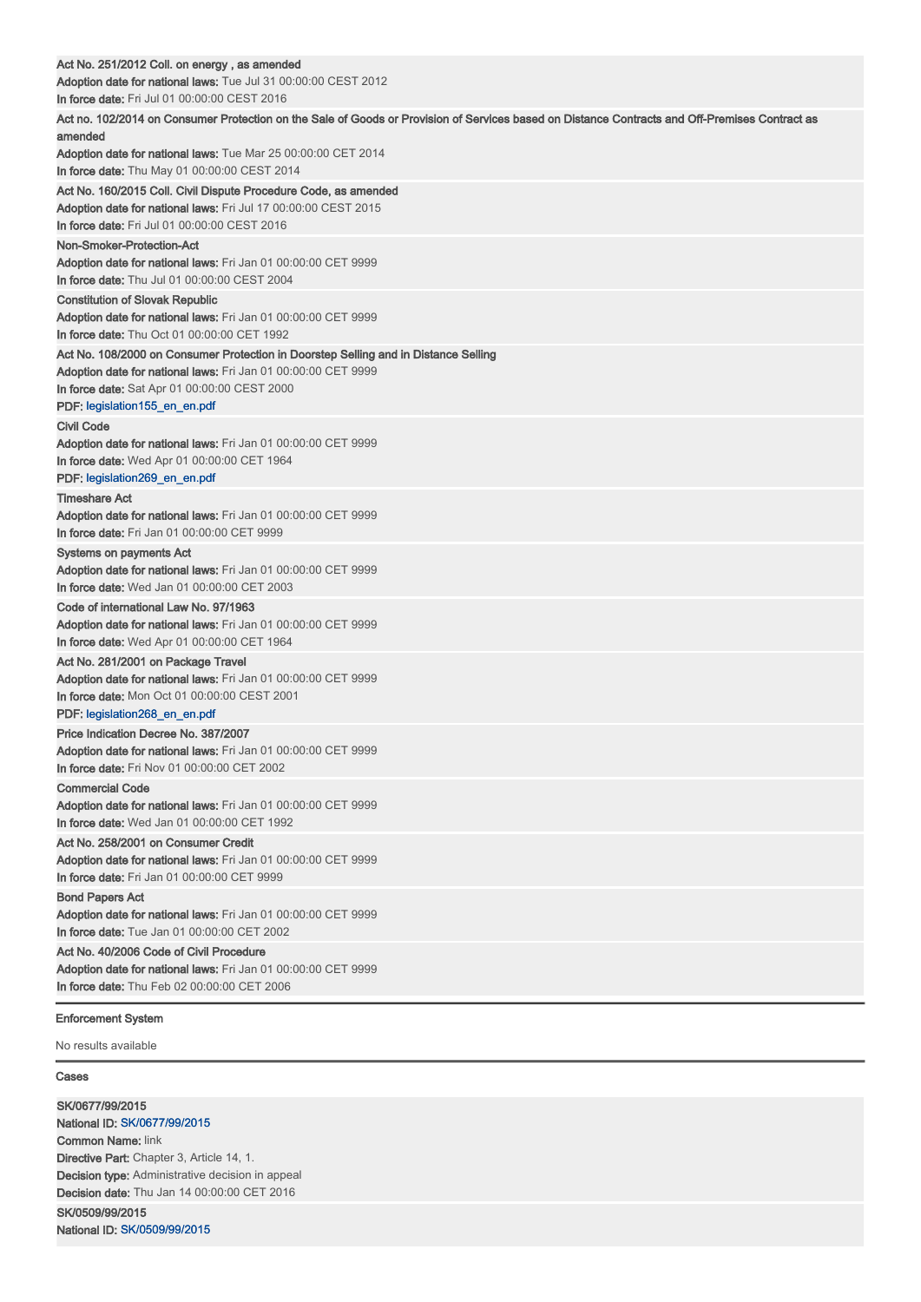| Act No. 251/2012 Coll. on energy , as amended                                                                                                             |
|-----------------------------------------------------------------------------------------------------------------------------------------------------------|
| Adoption date for national laws: Tue Jul 31 00:00:00 CEST 2012                                                                                            |
| In force date: Fri Jul 01 00:00:00 CEST 2016                                                                                                              |
| Act no. 102/2014 on Consumer Protection on the Sale of Goods or Provision of Services based on Distance Contracts and Off-Premises Contract as<br>amended |
| Adoption date for national laws: Tue Mar 25 00:00:00 CET 2014                                                                                             |
| <b>In force date:</b> Thu May 01 00:00:00 CEST 2014                                                                                                       |
| Act No. 160/2015 Coll. Civil Dispute Procedure Code, as amended                                                                                           |
| Adoption date for national laws: Fri Jul 17 00:00:00 CEST 2015                                                                                            |
| In force date: Fri Jul 01 00:00:00 CEST 2016                                                                                                              |
| Non-Smoker-Protection-Act                                                                                                                                 |
| <b>Adoption date for national laws:</b> Fri Jan 01 00:00:00 CET 9999                                                                                      |
| In force date: Thu Jul 01 00:00:00 CEST 2004                                                                                                              |
| <b>Constitution of Slovak Republic</b>                                                                                                                    |
| <b>Adoption date for national laws:</b> Fri Jan 01 00:00:00 CET 9999                                                                                      |
| In force date: Thu Oct 01 00:00:00 CET 1992                                                                                                               |
| Act No. 108/2000 on Consumer Protection in Doorstep Selling and in Distance Selling                                                                       |
| Adoption date for national laws: Fri Jan 01 00:00:00 CET 9999                                                                                             |
| In force date: Sat Apr 01 00:00:00 CEST 2000                                                                                                              |
| PDF: legislation155_en_en.pdf                                                                                                                             |
| <b>Civil Code</b>                                                                                                                                         |
| <b>Adoption date for national laws:</b> Fri Jan 01 00:00:00 CET 9999                                                                                      |
| <b>In force date:</b> Wed Apr 01 00:00:00 CET 1964                                                                                                        |
| PDF: legislation269_en_en.pdf                                                                                                                             |
| <b>Timeshare Act</b>                                                                                                                                      |
| Adoption date for national laws: Fri Jan 01 00:00:00 CET 9999                                                                                             |
| <b>In force date:</b> Fri Jan 01 00:00:00 CET 9999                                                                                                        |
| Systems on payments Act                                                                                                                                   |
| Adoption date for national laws: Fri Jan 01 00:00:00 CET 9999                                                                                             |
| In force date: Wed Jan 01 00:00:00 CET 2003                                                                                                               |
| Code of international Law No. 97/1963                                                                                                                     |
| Adoption date for national laws: Fri Jan 01 00:00:00 CET 9999                                                                                             |
| In force date: Wed Apr 01 00:00:00 CET 1964                                                                                                               |
| Act No. 281/2001 on Package Travel                                                                                                                        |
| <b>Adoption date for national laws: Fri Jan 01 00:00:00 CET 9999</b><br>In force date: Mon Oct 01 00:00:00 CEST 2001                                      |
| PDF: legislation268_en_en.pdf                                                                                                                             |
| Price Indication Decree No. 387/2007                                                                                                                      |
| Adoption date for national laws: Fri Jan 01 00:00:00 CET 9999                                                                                             |
| In force date: Fri Nov 01 00:00:00 CET 2002                                                                                                               |
| <b>Commercial Code</b>                                                                                                                                    |
| Adoption date for national laws: Fri Jan 01 00:00:00 CET 9999                                                                                             |
| In force date: Wed Jan 01 00:00:00 CET 1992                                                                                                               |
| Act No. 258/2001 on Consumer Credit                                                                                                                       |
| Adoption date for national laws: Fri Jan 01 00:00:00 CET 9999                                                                                             |
| In force date: Fri Jan 01 00:00:00 CET 9999                                                                                                               |
| <b>Bond Papers Act</b>                                                                                                                                    |
| Adoption date for national laws: Fri Jan 01 00:00:00 CET 9999                                                                                             |
| <b>In force date:</b> Tue Jan 01 00:00:00 CET 2002                                                                                                        |
| Act No. 40/2006 Code of Civil Procedure                                                                                                                   |
| Adoption date for national laws: Fri Jan 01 00:00:00 CET 9999                                                                                             |
| <b>In force date:</b> Thu Feb 02 00:00:00 CET 2006                                                                                                        |
| <b>Enforcement System</b>                                                                                                                                 |

No results available

## Cases

SK/0677/99/2015 National ID: SK/0677/99/2015 Common Name: link Directive Part: Chapter 3, Article 14, 1. Decision type: Administrative decision in appeal Decision date: Thu Jan 14 00:00:00 CET 2016 SK/0509/99/2015 National ID: SK/0509/99/2015